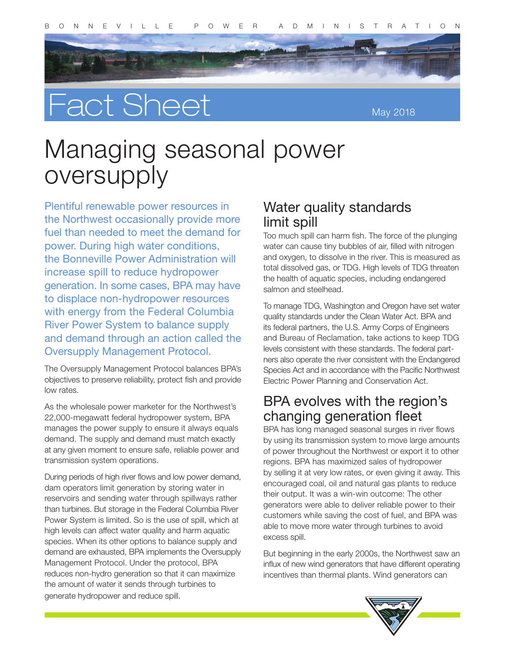



May 2018

# Managing seasonal power oversupply

Plentiful renewable power resources in the Northwest occasionally provide more fuel than needed to meet the demand for power. During high water conditions, the Bonneville Power Administration will increase spill to reduce hydropower generation. In some cases, BPA may have to displace non-hydropower resources with energy from the Federal Columbia River Power System to balance supply and demand through an action called the Oversupply Management Protocol.

The Oversupply Management Protocol balances BPA's objectives to preserve reliability, protect fish and provide low rates.

As the wholesale power marketer for the Northwest's 22,000-megawatt federal hydropower system, BPA manages the power supply to ensure it always equals demand. The supply and demand must match exactly at any given moment to ensure safe, reliable power and transmission system operations.

During periods of high river flows and low power demand, dam operators limit generation by storing water in reservoirs and sending water through spillways rather than turbines. But storage in the Federal Columbia River Power System is limited. So is the use of spill, which at high levels can affect water quality and harm aquatic species. When its other options to balance supply and demand are exhausted, BPA implements the Oversupply Management Protocol. Under the protocol, BPA reduces non-hydro generation so that it can maximize the amount of water it sends through turbines to generate hydropower and reduce spill.

#### Water quality standards limit spill

Too much spill can harm fish. The force of the plunging water can cause tiny bubbles of air, filled with nitrogen and oxygen, to dissolve in the river. This is measured as total dissolved gas, or TDG. High levels of TDG threaten the health of aquatic species, including endangered salmon and steelhead.

To manage TDG, Washington and Oregon have set water quality standards under the Clean Water Act. BPA and its federal partners, the U.S. Army Corps of Engineers and Bureau of Reclamation, take actions to keep TDG levels consistent with these standards. The federal partners also operate the river consistent with the Endangered Species Act and in accordance with the Pacific Northwest Electric Power Planning and Conservation Act.

#### BPA evolves with the region's changing generation fleet

BPA has long managed seasonal surges in river flows by using its transmission system to move large amounts of power throughout the Northwest or export it to other regions. BPA has maximized sales of hydropower by selling it at very low rates, or even giving it away. This encouraged coal, oil and natural gas plants to reduce their output. It was a win-win outcome: The other generators were able to deliver reliable power to their customers while saving the cost of fuel, and BPA was able to move more water through turbines to avoid excess spill.

But beginning in the early 2000s, the Northwest saw an influx of new wind generators that have different operating incentives than thermal plants. Wind generators can